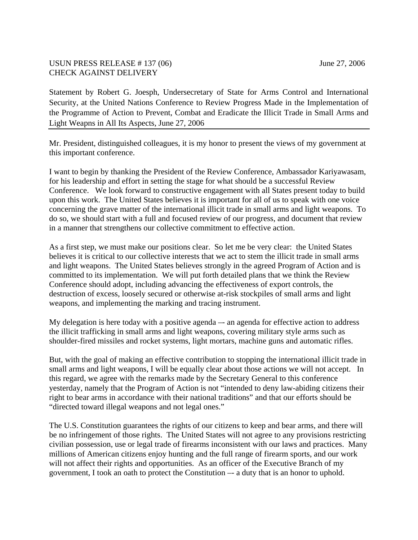## USUN PRESS RELEASE # 137 (06) June 27, 2006 CHECK AGAINST DELIVERY

Statement by Robert G. Joesph, Undersecretary of State for Arms Control and International Security, at the United Nations Conference to Review Progress Made in the Implementation of the Programme of Action to Prevent, Combat and Eradicate the Illicit Trade in Small Arms and Light Weapns in All Its Aspects, June 27, 2006

Mr. President, distinguished colleagues, it is my honor to present the views of my government at this important conference.

I want to begin by thanking the President of the Review Conference, Ambassador Kariyawasam, for his leadership and effort in setting the stage for what should be a successful Review Conference. We look forward to constructive engagement with all States present today to build upon this work. The United States believes it is important for all of us to speak with one voice concerning the grave matter of the international illicit trade in small arms and light weapons.To do so, we should start with a full and focused review of our progress, and document that review in a manner that strengthens our collective commitment to effective action.

As a first step, we must make our positions clear. So let me be very clear: the United States believes it is critical to our collective interests that we act to stem the illicit trade in small arms and light weapons. The United States believes strongly in the agreed Program of Action and is committed to its implementation. We will put forth detailed plans that we think the Review Conference should adopt, including advancing the effectiveness of export controls, the destruction of excess, loosely secured or otherwise at-risk stockpiles of small arms and light weapons, and implementing the marking and tracing instrument.

My delegation is here today with a positive agenda –- an agenda for effective action to address the illicit trafficking in small arms and light weapons, covering military style arms such as shoulder-fired missiles and rocket systems, light mortars, machine guns and automatic rifles.

But, with the goal of making an effective contribution to stopping the international illicit trade in small arms and light weapons, I will be equally clear about those actions we will not accept. In this regard, we agree with the remarks made by the Secretary General to this conference yesterday, namely that the Program of Action is not "intended to deny law-abiding citizens their right to bear arms in accordance with their national traditions" and that our efforts should be "directed toward illegal weapons and not legal ones."

The U.S. Constitution guarantees the rights of our citizens to keep and bear arms, and there will be no infringement of those rights. The United States will not agree to any provisions restricting civilian possession, use or legal trade of firearms inconsistent with our laws and practices. Many millions of American citizens enjoy hunting and the full range of firearm sports, and our work will not affect their rights and opportunities. As an officer of the Executive Branch of my government, I took an oath to protect the Constitution –- a duty that is an honor to uphold.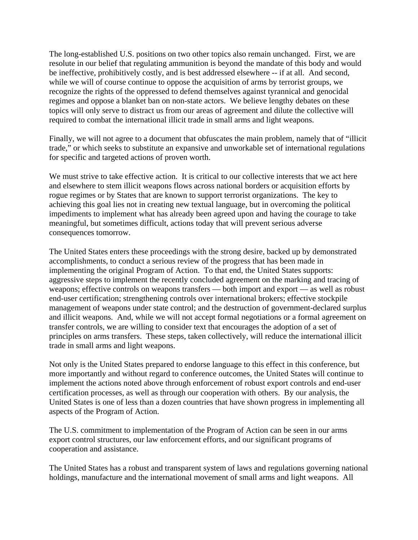The long-established U.S. positions on two other topics also remain unchanged. First, we are resolute in our belief that regulating ammunition is beyond the mandate of this body and would be ineffective, prohibitively costly, and is best addressed elsewhere -- if at all. And second, while we will of course continue to oppose the acquisition of arms by terrorist groups, we recognize the rights of the oppressed to defend themselves against tyrannical and genocidal regimes and oppose a blanket ban on non-state actors. We believe lengthy debates on these topics will only serve to distract us from our areas of agreement and dilute the collective will required to combat the international illicit trade in small arms and light weapons.

Finally, we will not agree to a document that obfuscates the main problem, namely that of "illicit trade," or which seeks to substitute an expansive and unworkable set of international regulations for specific and targeted actions of proven worth.

We must strive to take effective action. It is critical to our collective interests that we act here and elsewhere to stem illicit weapons flows across national borders or acquisition efforts by rogue regimes or by States that are known to support terrorist organizations. The key to achieving this goal lies not in creating new textual language, but in overcoming the political impediments to implement what has already been agreed upon and having the courage to take meaningful, but sometimes difficult, actions today that will prevent serious adverse consequences tomorrow.

The United States enters these proceedings with the strong desire, backed up by demonstrated accomplishments, to conduct a serious review of the progress that has been made in implementing the original Program of Action. To that end, the United States supports: aggressive steps to implement the recently concluded agreement on the marking and tracing of weapons; effective controls on weapons transfers — both import and export — as well as robust end-user certification; strengthening controls over international brokers; effective stockpile management of weapons under state control; and the destruction of government-declared surplus and illicit weapons. And, while we will not accept formal negotiations or a formal agreement on transfer controls, we are willing to consider text that encourages the adoption of a set of principles on arms transfers. These steps, taken collectively, will reduce the international illicit trade in small arms and light weapons.

Not only is the United States prepared to endorse language to this effect in this conference, but more importantly and without regard to conference outcomes, the United States will continue to implement the actions noted above through enforcement of robust export controls and end-user certification processes, as well as through our cooperation with others. By our analysis, the United States is one of less than a dozen countries that have shown progress in implementing all aspects of the Program of Action.

The U.S. commitment to implementation of the Program of Action can be seen in our arms export control structures, our law enforcement efforts, and our significant programs of cooperation and assistance.

The United States has a robust and transparent system of laws and regulations governing national holdings, manufacture and the international movement of small arms and light weapons. All